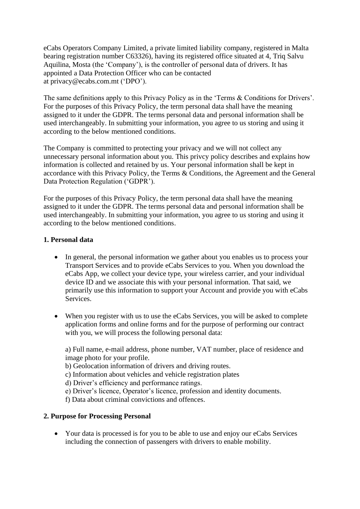eCabs Operators Company Limited, a private limited liability company, registered in Malta bearing registration number C63326), having its registered office situated at 4, Triq Salvu Aquilina, Mosta (the 'Company'), is the controller of personal data of drivers. It has appointed a Data Protection Officer who can be contacted at privacy@ecabs.com.mt ('DPO').

The same definitions apply to this Privacy Policy as in the 'Terms & Conditions for Drivers'. For the purposes of this Privacy Policy, the term personal data shall have the meaning assigned to it under the GDPR. The terms personal data and personal information shall be used interchangeably. In submitting your information, you agree to us storing and using it according to the below mentioned conditions.

The Company is committed to protecting your privacy and we will not collect any unnecessary personal information about you. This privcy policy describes and explains how information is collected and retained by us. Your personal information shall be kept in accordance with this Privacy Policy, the Terms & Conditions, the Agreement and the General Data Protection Regulation ('GDPR').

For the purposes of this Privacy Policy, the term personal data shall have the meaning assigned to it under the GDPR. The terms personal data and personal information shall be used interchangeably. In submitting your information, you agree to us storing and using it according to the below mentioned conditions.

### **1. Personal data**

- In general, the personal information we gather about you enables us to process your Transport Services and to provide eCabs Services to you. When you download the eCabs App, we collect your device type, your wireless carrier, and your individual device ID and we associate this with your personal information. That said, we primarily use this information to support your Account and provide you with eCabs Services.
- When you register with us to use the eCabs Services, you will be asked to complete application forms and online forms and for the purpose of performing our contract with you, we will process the following personal data:

a) Full name, e-mail address, phone number, VAT number, place of residence and image photo for your profile.

b) Geolocation information of drivers and driving routes.

c) Information about vehicles and vehicle registration plates

d) Driver's efficiency and performance ratings.

e) Driver's licence, Operator's licence, profession and identity documents.

f) Data about criminal convictions and offences.

## **2. Purpose for Processing Personal**

• Your data is processed is for you to be able to use and enjoy our eCabs Services including the connection of passengers with drivers to enable mobility.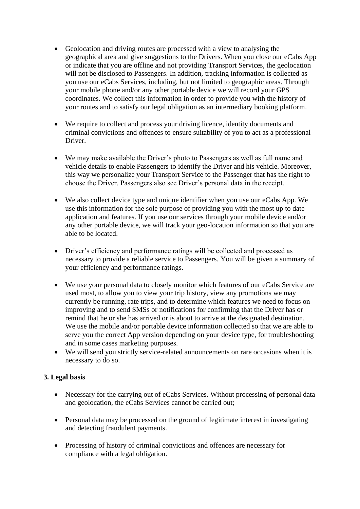- Geolocation and driving routes are processed with a view to analysing the geographical area and give suggestions to the Drivers. When you close our eCabs App or indicate that you are offline and not providing Transport Services, the geolocation will not be disclosed to Passengers. In addition, tracking information is collected as you use our eCabs Services, including, but not limited to geographic areas. Through your mobile phone and/or any other portable device we will record your GPS coordinates. We collect this information in order to provide you with the history of your routes and to satisfy our legal obligation as an intermediary booking platform.
- We require to collect and process your driving licence, identity documents and criminal convictions and offences to ensure suitability of you to act as a professional Driver.
- We may make available the Driver's photo to Passengers as well as full name and vehicle details to enable Passengers to identify the Driver and his vehicle. Moreover, this way we personalize your Transport Service to the Passenger that has the right to choose the Driver. Passengers also see Driver's personal data in the receipt.
- We also collect device type and unique identifier when you use our eCabs App. We use this information for the sole purpose of providing you with the most up to date application and features. If you use our services through your mobile device and/or any other portable device, we will track your geo-location information so that you are able to be located.
- Driver's efficiency and performance ratings will be collected and processed as necessary to provide a reliable service to Passengers. You will be given a summary of your efficiency and performance ratings.
- We use your personal data to closely monitor which features of our eCabs Service are used most, to allow you to view your trip history, view any promotions we may currently be running, rate trips, and to determine which features we need to focus on improving and to send SMSs or notifications for confirming that the Driver has or remind that he or she has arrived or is about to arrive at the designated destination. We use the mobile and/or portable device information collected so that we are able to serve you the correct App version depending on your device type, for troubleshooting and in some cases marketing purposes.
- We will send you strictly service-related announcements on rare occasions when it is necessary to do so.

## **3. Legal basis**

- Necessary for the carrying out of eCabs Services. Without processing of personal data and geolocation, the eCabs Services cannot be carried out;
- Personal data may be processed on the ground of legitimate interest in investigating and detecting fraudulent payments.
- Processing of history of criminal convictions and offences are necessary for compliance with a legal obligation.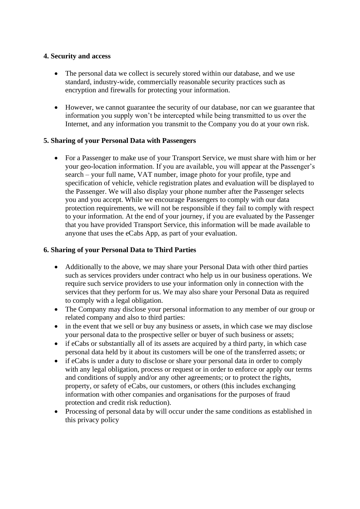### **4. Security and access**

- The personal data we collect is securely stored within our database, and we use standard, industry-wide, commercially reasonable security practices such as encryption and firewalls for protecting your information.
- However, we cannot guarantee the security of our database, nor can we guarantee that information you supply won't be intercepted while being transmitted to us over the Internet, and any information you transmit to the Company you do at your own risk.

### **5. Sharing of your Personal Data with Passengers**

• For a Passenger to make use of your Transport Service, we must share with him or her your geo-location information. If you are available, you will appear at the Passenger's search – your full name, VAT number, image photo for your profile, type and specification of vehicle, vehicle registration plates and evaluation will be displayed to the Passenger. We will also display your phone number after the Passenger selects you and you accept. While we encourage Passengers to comply with our data protection requirements, we will not be responsible if they fail to comply with respect to your information. At the end of your journey, if you are evaluated by the Passenger that you have provided Transport Service, this information will be made available to anyone that uses the eCabs App, as part of your evaluation.

### **6. Sharing of your Personal Data to Third Parties**

- Additionally to the above, we may share your Personal Data with other third parties such as services providers under contract who help us in our business operations. We require such service providers to use your information only in connection with the services that they perform for us. We may also share your Personal Data as required to comply with a legal obligation.
- The Company may disclose your personal information to any member of our group or related company and also to third parties:
- in the event that we sell or buy any business or assets, in which case we may disclose your personal data to the prospective seller or buyer of such business or assets;
- if eCabs or substantially all of its assets are acquired by a third party, in which case personal data held by it about its customers will be one of the transferred assets; or
- if eCabs is under a duty to disclose or share your personal data in order to comply with any legal obligation, process or request or in order to enforce or apply our terms and conditions of supply and/or any other agreements; or to protect the rights, property, or safety of eCabs, our customers, or others (this includes exchanging information with other companies and organisations for the purposes of fraud protection and credit risk reduction).
- Processing of personal data by will occur under the same conditions as established in this privacy policy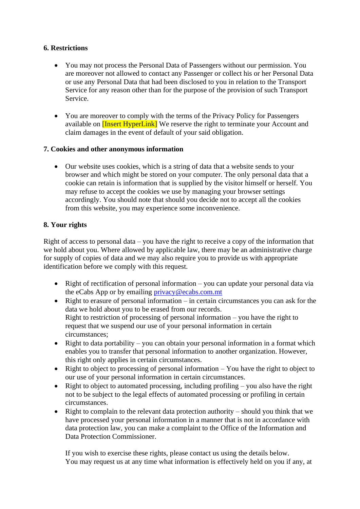## **6. Restrictions**

- You may not process the Personal Data of Passengers without our permission. You are moreover not allowed to contact any Passenger or collect his or her Personal Data or use any Personal Data that had been disclosed to you in relation to the Transport Service for any reason other than for the purpose of the provision of such Transport Service.
- You are moreover to comply with the terms of the Privacy Policy for Passengers available on **[Insert HyperLink]** We reserve the right to terminate your Account and claim damages in the event of default of your said obligation.

## **7. Cookies and other anonymous information**

• Our website uses cookies, which is a string of data that a website sends to your browser and which might be stored on your computer. The only personal data that a cookie can retain is information that is supplied by the visitor himself or herself. You may refuse to accept the cookies we use by managing your browser settings accordingly. You should note that should you decide not to accept all the cookies from this website, you may experience some inconvenience.

# **8. Your rights**

Right of access to personal data – you have the right to receive a copy of the information that we hold about you. Where allowed by applicable law, there may be an administrative charge for supply of copies of data and we may also require you to provide us with appropriate identification before we comply with this request.

- Right of rectification of personal information you can update your personal data via the eCabs App or by emailing [privacy@ecabs.com.mt](mailto:privacy@ecabs.com.mt)
- Right to erasure of personal information in certain circumstances you can ask for the data we hold about you to be erased from our records. Right to restriction of processing of personal information  $-$  you have the right to request that we suspend our use of your personal information in certain circumstances;
- Right to data portability you can obtain your personal information in a format which enables you to transfer that personal information to another organization. However, this right only applies in certain circumstances.
- Right to object to processing of personal information You have the right to object to our use of your personal information in certain circumstances.
- Right to object to automated processing, including profiling you also have the right not to be subject to the legal effects of automated processing or profiling in certain circumstances.
- Right to complain to the relevant data protection authority should you think that we have processed your personal information in a manner that is not in accordance with data protection law, you can make a complaint to the Office of the Information and Data Protection Commissioner.

If you wish to exercise these rights, please contact us using the details below. You may request us at any time what information is effectively held on you if any, at